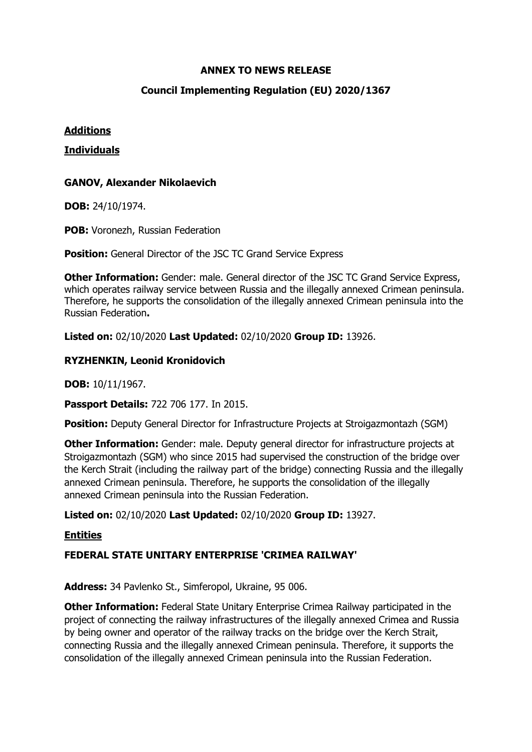## **ANNEX TO NEWS RELEASE**

## **Council Implementing Regulation (EU) 2020/1367**

## **Additions**

#### **Individuals**

## **GANOV, Alexander Nikolaevich**

**DOB:** 24/10/1974.

**POB:** Voronezh, Russian Federation

**Position:** General Director of the JSC TC Grand Service Express

**Other Information:** Gender: male. General director of the JSC TC Grand Service Express, which operates railway service between Russia and the illegally annexed Crimean peninsula. Therefore, he supports the consolidation of the illegally annexed Crimean peninsula into the Russian Federation**.** 

**Listed on:** 02/10/2020 **Last Updated:** 02/10/2020 **Group ID:** 13926.

## **RYZHENKIN, Leonid Kronidovich**

**DOB:** 10/11/1967.

**Passport Details:** 722 706 177. In 2015.

**Position:** Deputy General Director for Infrastructure Projects at Stroigazmontazh (SGM)

**Other Information:** Gender: male. Deputy general director for infrastructure projects at Stroigazmontazh (SGM) who since 2015 had supervised the construction of the bridge over the Kerch Strait (including the railway part of the bridge) connecting Russia and the illegally annexed Crimean peninsula. Therefore, he supports the consolidation of the illegally annexed Crimean peninsula into the Russian Federation.

**Listed on:** 02/10/2020 **Last Updated:** 02/10/2020 **Group ID:** 13927.

## **Entities**

## **FEDERAL STATE UNITARY ENTERPRISE 'CRIMEA RAILWAY'**

**Address:** 34 Pavlenko St., Simferopol, Ukraine, 95 006.

**Other Information:** Federal State Unitary Enterprise Crimea Railway participated in the project of connecting the railway infrastructures of the illegally annexed Crimea and Russia by being owner and operator of the railway tracks on the bridge over the Kerch Strait, connecting Russia and the illegally annexed Crimean peninsula. Therefore, it supports the consolidation of the illegally annexed Crimean peninsula into the Russian Federation.